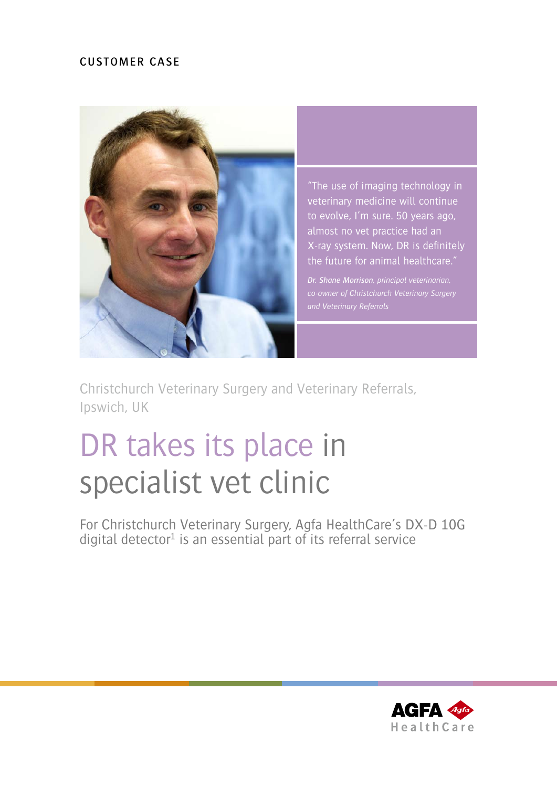## CUSTOMER CASE



"The use of imaging technology in veterinary medicine will continue to evolve, I'm sure. 50 years ago, almost no vet practice had an X-ray system. Now, DR is definitely the future for animal healthcare."

*Dr. Shane Morrison, principal veterinarian, co-owner of Christchurch Veterinary Surgery* 

Christchurch Veterinary Surgery and Veterinary Referrals, Ipswich, UK

# DR takes its place in specialist vet clinic

For Christchurch Veterinary Surgery, Agfa HealthCare's DX-D 10G digital detector<sup>1</sup> is an essential part of its referral service

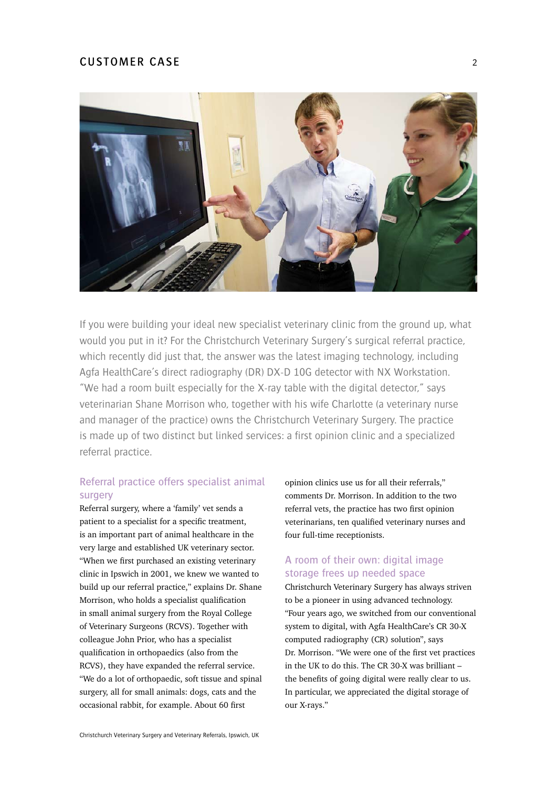#### CUSTOMER CASE 2



If you were building your ideal new specialist veterinary clinic from the ground up, what would you put in it? For the Christchurch Veterinary Surgery's surgical referral practice, which recently did just that, the answer was the latest imaging technology, including Agfa HealthCare's direct radiography (DR) DX-D 10G detector with NX Workstation. "We had a room built especially for the X-ray table with the digital detector," says veterinarian Shane Morrison who, together with his wife Charlotte (a veterinary nurse and manager of the practice) owns the Christchurch Veterinary Surgery. The practice is made up of two distinct but linked services: a first opinion clinic and a specialized referral practice.

### Referral practice offers specialist animal surgery

Referral surgery, where a 'family' vet sends a patient to a specialist for a specific treatment, is an important part of animal healthcare in the very large and established UK veterinary sector. "When we first purchased an existing veterinary clinic in Ipswich in 2001, we knew we wanted to build up our referral practice," explains Dr. Shane Morrison, who holds a specialist qualification in small animal surgery from the Royal College of Veterinary Surgeons (RCVS). Together with colleague John Prior, who has a specialist qualification in orthopaedics (also from the RCVS), they have expanded the referral service. "We do a lot of orthopaedic, soft tissue and spinal surgery, all for small animals: dogs, cats and the occasional rabbit, for example. About 60 first

opinion clinics use us for all their referrals," comments Dr. Morrison. In addition to the two referral vets, the practice has two first opinion veterinarians, ten qualified veterinary nurses and four full-time receptionists.

#### A room of their own: digital image storage frees up needed space

Christchurch Veterinary Surgery has always striven to be a pioneer in using advanced technology. "Four years ago, we switched from our conventional system to digital, with Agfa HealthCare's CR 30-X computed radiography (CR) solution", says Dr. Morrison. "We were one of the first vet practices in the UK to do this. The CR 30-X was brilliant – the benefits of going digital were really clear to us. In particular, we appreciated the digital storage of our X-rays."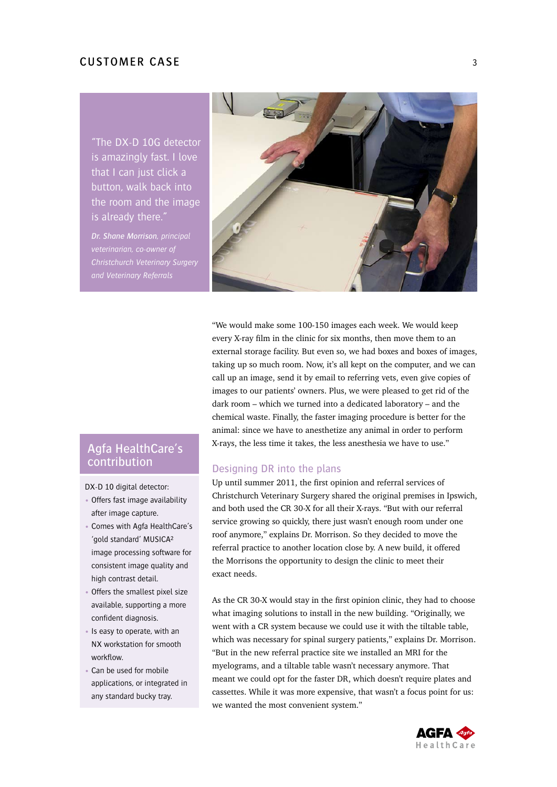"The DX-D 10G detector is amazingly fast. I love that I can just click a button, walk back into the room and the image is already there."

*Dr. Shane Morrison, principal veterinarian, co-owner of Christchurch Veterinary Surgery and Veterinary Referrals*



"We would make some 100-150 images each week. We would keep every X-ray film in the clinic for six months, then move them to an external storage facility. But even so, we had boxes and boxes of images, taking up so much room. Now, it's all kept on the computer, and we can call up an image, send it by email to referring vets, even give copies of images to our patients' owners. Plus, we were pleased to get rid of the dark room – which we turned into a dedicated laboratory – and the chemical waste. Finally, the faster imaging procedure is better for the animal: since we have to anesthetize any animal in order to perform X-rays, the less time it takes, the less anesthesia we have to use."

## Agfa HealthCare's contribution

DX-D 10 digital detector:

- Offers fast image availability after image capture.
- Comes with Agfa HealthCare's 'gold standard' MUSICA² image processing software for consistent image quality and high contrast detail.
- Offers the smallest pixel size available, supporting a more confident diagnosis.
- Is easy to operate, with an NX workstation for smooth workflow.
- Can be used for mobile applications, or integrated in any standard bucky tray.

#### Designing DR into the plans

Up until summer 2011, the first opinion and referral services of Christchurch Veterinary Surgery shared the original premises in Ipswich, and both used the CR 30-X for all their X-rays. "But with our referral service growing so quickly, there just wasn't enough room under one roof anymore," explains Dr. Morrison. So they decided to move the referral practice to another location close by. A new build, it offered the Morrisons the opportunity to design the clinic to meet their exact needs.

As the CR 30-X would stay in the first opinion clinic, they had to choose what imaging solutions to install in the new building. "Originally, we went with a CR system because we could use it with the tiltable table, which was necessary for spinal surgery patients," explains Dr. Morrison. "But in the new referral practice site we installed an MRI for the myelograms, and a tiltable table wasn't necessary anymore. That meant we could opt for the faster DR, which doesn't require plates and cassettes. While it was more expensive, that wasn't a focus point for us: we wanted the most convenient system."